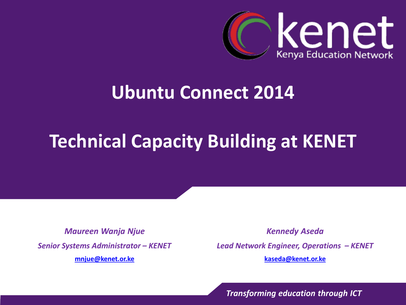

#### **Ubuntu Connect 2014**

### **Technical Capacity Building at KENET**

*Maureen Wanja Njue Senior Systems Administrator – KENET* **[mnjue@kenet.or.ke](mailto:rosure@kenet.or.ke)**

*Kennedy Aseda Lead Network Engineer, Operations – KENET* **[kaseda@kenet.or.ke](mailto:rosure@kenet.or.ke)**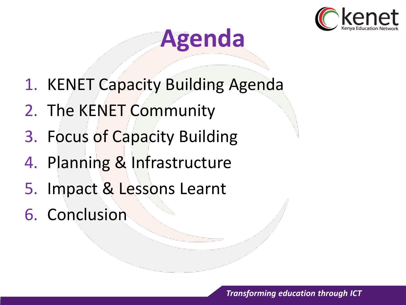

## **Agenda**

- 1. KENET Capacity Building Agenda
- 2. The KENET Community
- 3. Focus of Capacity Building
- 4. Planning & Infrastructure
- 5. Impact & Lessons Learnt
- 6. Conclusion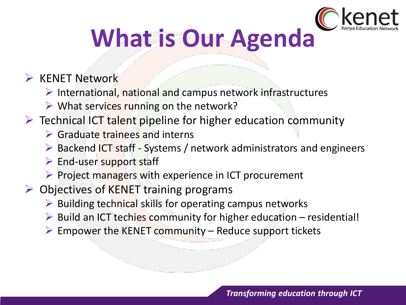

## **What is Our Agenda**

#### $\triangleright$  KENET Network

- $\triangleright$  International, national and campus network infrastructures
- $\triangleright$  What services running on the network?
- $\triangleright$  Technical ICT talent pipeline for higher education community
	- $\triangleright$  Graduate trainees and interns
	- $\triangleright$  Backend ICT staff Systems / network administrators and engineers
	- $\triangleright$  End-user support staff
	- $\triangleright$  Project managers with experience in ICT procurement
- $\triangleright$  Objectives of KENET training programs
	- $\triangleright$  Building technical skills for operating campus networks
	- $\triangleright$  Build an ICT techies community for higher education residential!
	- $\triangleright$  Empower the KENET community Reduce support tickets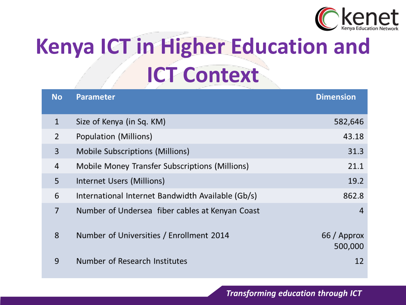

## **Kenya ICT in Higher Education and ICT Context**

| <b>No</b>      | <b>Parameter</b>                                  | <b>Dimension</b>       |
|----------------|---------------------------------------------------|------------------------|
| $\mathbf{1}$   | Size of Kenya (in Sq. KM)                         | 582,646                |
| $\overline{2}$ | Population (Millions)                             | 43.18                  |
| 3              | Mobile Subscriptions (Millions)                   | 31.3                   |
| 4              | Mobile Money Transfer Subscriptions (Millions)    | 21.1                   |
| 5              | Internet Users (Millions)                         | 19.2                   |
| 6              | International Internet Bandwidth Available (Gb/s) | 862.8                  |
| 7              | Number of Undersea fiber cables at Kenyan Coast   | 4                      |
| 8              | Number of Universities / Enrollment 2014          | 66 / Approx<br>500,000 |
| 9              | Number of Research Institutes                     | 12                     |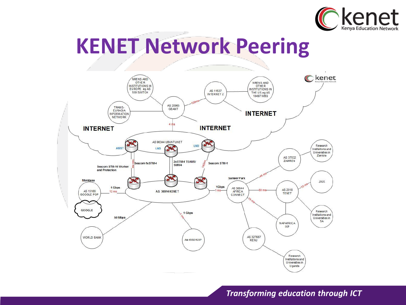

## **KENET Network Peering**

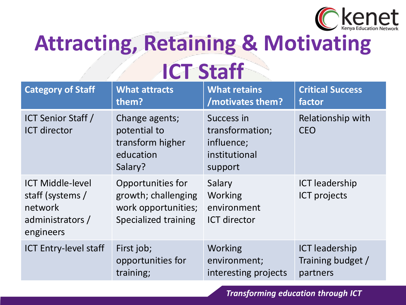

## **Attracting, Retaining & Motivating ICT Staff**

| <b>Category of Staff</b>                                                                | <b>What attracts</b>                                                                    | <b>What retains</b>                                                     | <b>Critical Success</b>                      |
|-----------------------------------------------------------------------------------------|-----------------------------------------------------------------------------------------|-------------------------------------------------------------------------|----------------------------------------------|
|                                                                                         | them?                                                                                   | /motivates them?                                                        | factor                                       |
| <b>ICT Senior Staff /</b><br><b>ICT</b> director                                        | Change agents;<br>potential to<br>transform higher<br>education<br>Salary?              | Success in<br>transformation;<br>influence;<br>institutional<br>support | Relationship with<br><b>CEO</b>              |
| <b>ICT Middle-level</b><br>staff (systems /<br>network<br>administrators /<br>engineers | Opportunities for<br>growth; challenging<br>work opportunities;<br>Specialized training | Salary<br><b>Working</b><br>environment<br><b>ICT director</b>          | <b>ICT leadership</b><br><b>ICT</b> projects |
| <b>ICT Entry-level staff</b>                                                            | First job;                                                                              | <b>Working</b>                                                          | <b>ICT leadership</b>                        |
|                                                                                         | opportunities for                                                                       | environment;                                                            | Training budget /                            |
|                                                                                         | training;                                                                               | interesting projects                                                    | partners                                     |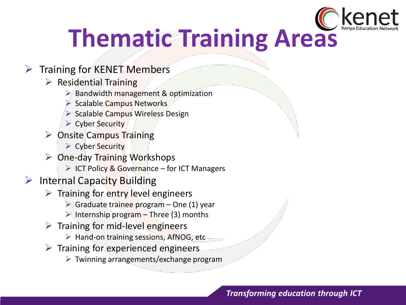

## **Thematic Training Areas**

#### $\triangleright$  Training for KENET Members

- $\triangleright$  Residential Training
	- $\triangleright$  Bandwidth management & optimization
	- $\triangleright$  Scalable Campus Networks
	- $\triangleright$  Scalable Campus Wireless Design
	- $\triangleright$  Cyber Security
- $\triangleright$  Onsite Campus Training
	- ▶ Cyber Security
- $\triangleright$  One-day Training Workshops
	- $\triangleright$  ICT Policy & Governance for ICT Managers
- $\triangleright$  Internal Capacity Building
	- $\triangleright$  Training for entry level engineers
		- $\triangleright$  Graduate trainee program One (1) year
		- Internship program Three (3) months
	- $\triangleright$  Training for mid-level engineers
		- $\triangleright$  Hand-on training sessions, AfNOG, etc
	- $\triangleright$  Training for experienced engineers
		- $\triangleright$  Twinning arrangements/exchange program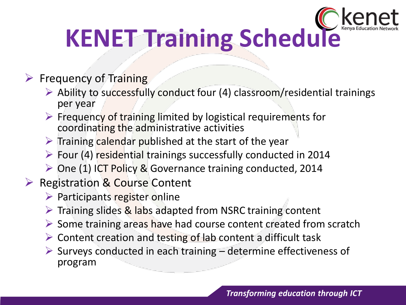

#### $\triangleright$  Frequency of Training

- $\triangleright$  Ability to successfully conduct four (4) classroom/residential trainings per year
- $\triangleright$  Frequency of training limited by logistical requirements for coordinating the administrative activities
- $\triangleright$  Training calendar published at the start of the year
- $\triangleright$  Four (4) residential trainings successfully conducted in 2014
- One (1) ICT Policy & Governance training conducted, 2014

#### $\triangleright$  Registration & Course Content

- $\triangleright$  Participants register online
- $\triangleright$  Training slides & labs adapted from NSRC training content
- $\triangleright$  Some training areas have had course content created from scratch
- $\triangleright$  Content creation and testing of lab content a difficult task
- $\triangleright$  Surveys conducted in each training determine effectiveness of program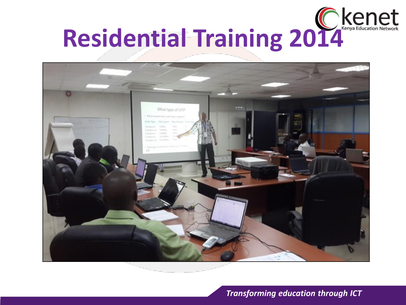

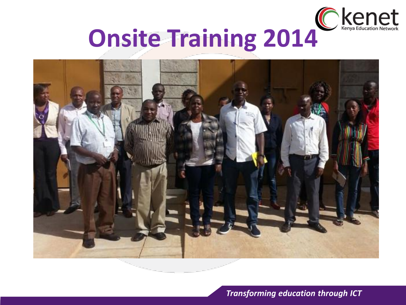

# Onsite Training 2014<sup>C Kenet</sup>

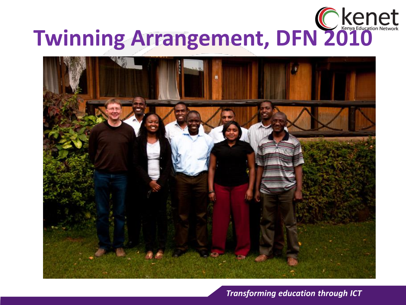# **Twinning Arrangement, DFN 2010**

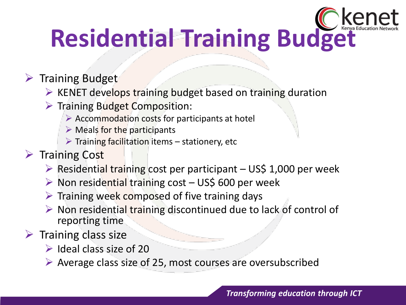

#### $\triangleright$  Training Budget

- $\triangleright$  KENET develops training budget based on training duration
- $\triangleright$  Training Budget Composition:
	- $\triangleright$  Accommodation costs for participants at hotel
	- $\triangleright$  Meals for the participants
	- $\triangleright$  Training facilitation items stationery, etc
- $\triangleright$  Training Cost
	- $\triangleright$  Residential training cost per participant US\$ 1,000 per week
	- $\triangleright$  Non residential training cost US\$ 600 per week
	- $\triangleright$  Training week composed of five training days
	- $\triangleright$  Non residential training discontinued due to lack of control of reporting time
- $\triangleright$  Training class size
	- $\triangleright$  Ideal class size of 20
	- $\triangleright$  Average class size of 25, most courses are oversubscribed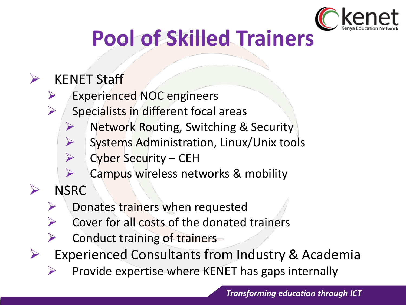

## **Pool of Skilled Trainers**

#### $\triangleright$  KENET Staff

- $\triangleright$  Experienced NOC engineers
- $\triangleright$  Specialists in different focal areas
	- Network Routing, Switching & Security
	- Systems Administration, Linux/Unix tools
	- $\triangleright$  Cyber Security CEH
	- $\triangleright$  Campus wireless networks & mobility
- > NSRC
	- $\triangleright$  Donates trainers when requested
	- $\triangleright$  Cover for all costs of the donated trainers
	- $\triangleright$  Conduct training of trainers
- $\triangleright$  Experienced Consultants from Industry & Academia
	- $\triangleright$  Provide expertise where KENET has gaps internally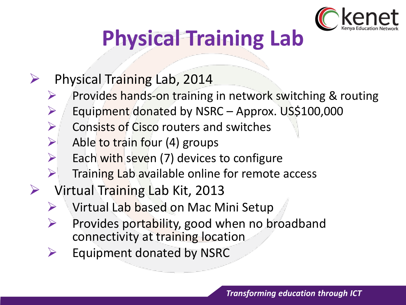

## **Physical Training Lab**

- $\triangleright$  Physical Training Lab, 2014
	- $\triangleright$  Provides hands-on training in network switching & routing
	- $\triangleright$  Equipment donated by NSRC Approx. US\$100,000
	- $\triangleright$  Consists of Cisco routers and switches
	- $\triangleright$  Able to train four (4) groups
	- $\triangleright$  Each with seven (7) devices to configure
	- $\triangleright$  Training Lab available online for remote access
- $\triangleright$  Virtual Training Lab Kit, 2013
	- $\triangleright$  Virtual Lab based on Mac Mini Setup
	- $\triangleright$  Provides portability, good when no broadband connectivity at training location
	- $\triangleright$  Equipment donated by NSRC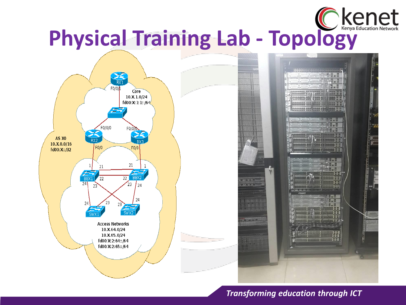



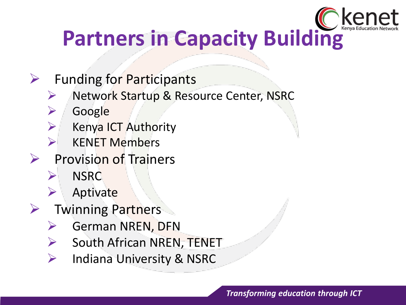

## **Partners in Capacity Building**

- $\triangleright$  Funding for Participants
	- **► Network Startup & Resource Center, NSRC**
	- **►** Google
	- $\triangleright$  Kenya ICT Authority
	- $\triangleright$  KENET Members
- Provision of Trainers
	- > NSRC
	- $\triangleright$  Aptivate
- $\triangleright$  Twinning Partners
	- $\triangleright$  German NREN, DFN
	- $\triangleright$  South African NREN, TENET
	- $\triangleright$  Indiana University & NSRC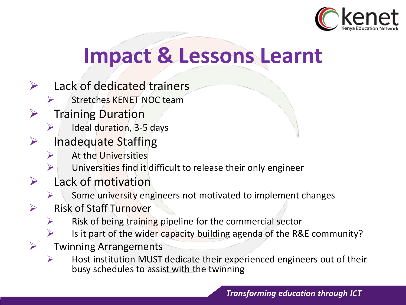

## **Impact & Lessons Learnt**

- $\triangleright$  Lack of dedicated trainers
	- $\triangleright$  Stretches KENET NOC team
- $\triangleright$  Training Duration
	- $\triangleright$  Ideal duration, 3-5 days
- $\triangleright$  Inadequate Staffing
	- $\triangleright$  At the Universities
		- Universities find it difficult to release their only engineer
- $\triangleright$  Lack of motivation
	- $\triangleright$  Some university engineers not motivated to implement changes
- Risk of Staff Turnover
	- $\triangleright$  Risk of being training pipeline for the commercial sector
	- Is it part of the wider capacity building agenda of the R&E community?
- $\triangleright$  Twinning Arrangements
	- $\triangleright$  Host institution MUST dedicate their experienced engineers out of their busy schedules to assist with the twinning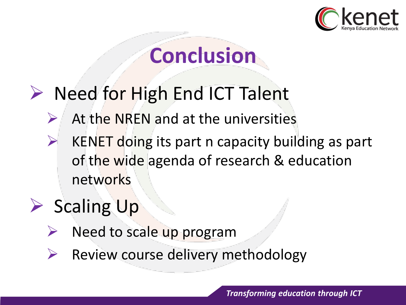

## **Conclusion**

### $\triangleright$  Need for High End ICT Talent

- $\triangleright$  At the NREN and at the universities
- $\triangleright$  KENET doing its part n capacity building as part of the wide agenda of research & education networks

## $\triangleright$  Scaling Up

- $\triangleright$  Need to scale up program
- $\triangleright$  Review course delivery methodology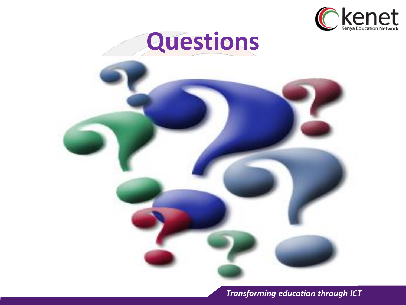

## **Questions**